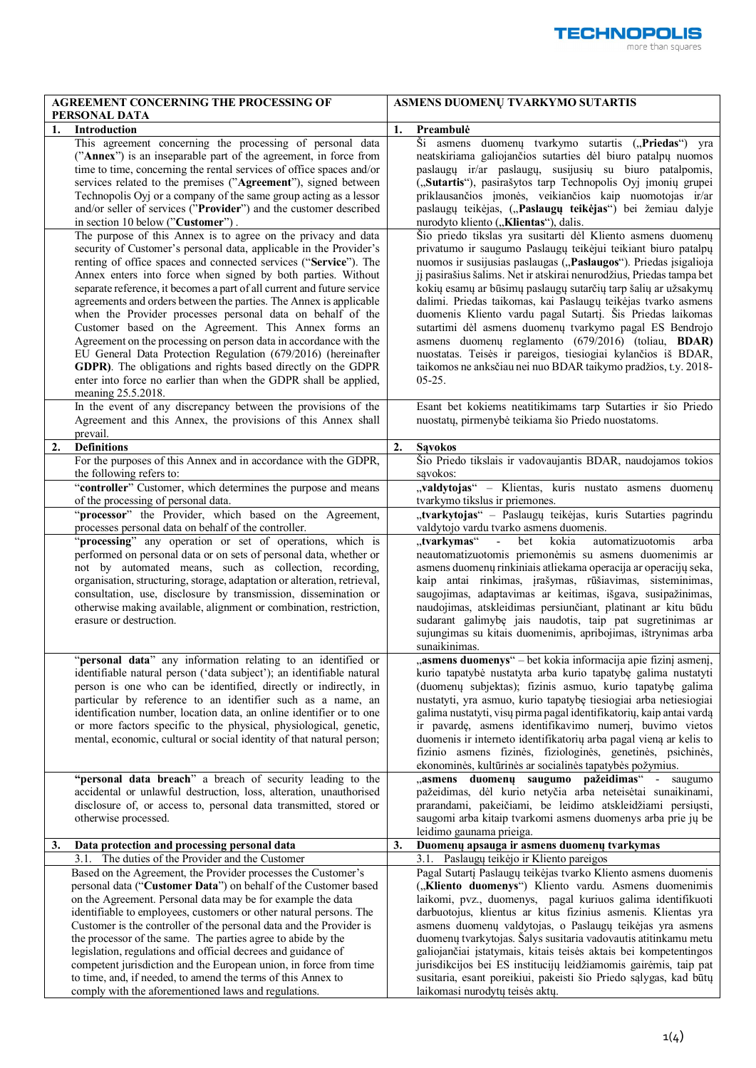| <b>AGREEMENT CONCERNING THE PROCESSING OF</b>                                                                                                                                                                                                                                                                                                                                                                                                                                                                                                                                                                                                                                                                                                                                                                                                  | ASMENS DUOMENŲ TVARKYMO SUTARTIS                                                                                                                                                                                                                                                                                                                                                                                                                                                                                                                                                                                                                                                                                                            |  |  |
|------------------------------------------------------------------------------------------------------------------------------------------------------------------------------------------------------------------------------------------------------------------------------------------------------------------------------------------------------------------------------------------------------------------------------------------------------------------------------------------------------------------------------------------------------------------------------------------------------------------------------------------------------------------------------------------------------------------------------------------------------------------------------------------------------------------------------------------------|---------------------------------------------------------------------------------------------------------------------------------------------------------------------------------------------------------------------------------------------------------------------------------------------------------------------------------------------------------------------------------------------------------------------------------------------------------------------------------------------------------------------------------------------------------------------------------------------------------------------------------------------------------------------------------------------------------------------------------------------|--|--|
| PERSONAL DATA                                                                                                                                                                                                                                                                                                                                                                                                                                                                                                                                                                                                                                                                                                                                                                                                                                  | 1.<br>Preambulė                                                                                                                                                                                                                                                                                                                                                                                                                                                                                                                                                                                                                                                                                                                             |  |  |
| 1.<br>Introduction<br>This agreement concerning the processing of personal data<br>("Annex") is an inseparable part of the agreement, in force from<br>time to time, concerning the rental services of office spaces and/or<br>services related to the premises ("Agreement"), signed between<br>Technopolis Oyj or a company of the same group acting as a lessor<br>and/or seller of services ("Provider") and the customer described<br>in section 10 below ("Customer").                                                                                                                                                                                                                                                                                                                                                                   | Ši asmens duomenų tvarkymo sutartis ("Priedas") yra<br>neatskiriama galiojančios sutarties dėl biuro patalpų nuomos<br>paslaugų ir/ar paslaugų, susijusių su biuro patalpomis,<br>("Sutartis"), pasirašytos tarp Technopolis Oyj įmonių grupei<br>priklausančios įmonės, veikiančios kaip nuomotojas ir/ar<br>paslaugų teikėjas, ("Paslaugų teikėjas") bei žemiau dalyje<br>nurodyto kliento ("Klientas"), dalis.                                                                                                                                                                                                                                                                                                                           |  |  |
| The purpose of this Annex is to agree on the privacy and data<br>security of Customer's personal data, applicable in the Provider's<br>renting of office spaces and connected services ("Service"). The<br>Annex enters into force when signed by both parties. Without<br>separate reference, it becomes a part of all current and future service<br>agreements and orders between the parties. The Annex is applicable<br>when the Provider processes personal data on behalf of the<br>Customer based on the Agreement. This Annex forms an<br>Agreement on the processing on person data in accordance with the<br>EU General Data Protection Regulation (679/2016) (hereinafter<br>GDPR). The obligations and rights based directly on the GDPR<br>enter into force no earlier than when the GDPR shall be applied,<br>meaning 25.5.2018. | Šio priedo tikslas yra susitarti dėl Kliento asmens duomenų<br>privatumo ir saugumo Paslaugų teikėjui teikiant biuro patalpų<br>nuomos ir susijusias paslaugas ("Paslaugos"). Priedas įsigalioja<br>jį pasirašius šalims. Net ir atskirai nenurodžius, Priedas tampa bet<br>kokių esamų ar būsimų paslaugų sutarčių tarp šalių ar užsakymų<br>dalimi. Priedas taikomas, kai Paslaugų teikėjas tvarko asmens<br>duomenis Kliento vardu pagal Sutartį. Šis Priedas laikomas<br>sutartimi dėl asmens duomenų tvarkymo pagal ES Bendrojo<br>asmens duomenų reglamento (679/2016) (toliau, BDAR)<br>nuostatas. Teisės ir pareigos, tiesiogiai kylančios iš BDAR,<br>taikomos ne anksčiau nei nuo BDAR taikymo pradžios, t.y. 2018-<br>$05 - 25.$ |  |  |
| In the event of any discrepancy between the provisions of the<br>Agreement and this Annex, the provisions of this Annex shall<br>prevail.                                                                                                                                                                                                                                                                                                                                                                                                                                                                                                                                                                                                                                                                                                      | Esant bet kokiems neatitikimams tarp Sutarties ir šio Priedo<br>nuostatų, pirmenybė teikiama šio Priedo nuostatoms.                                                                                                                                                                                                                                                                                                                                                                                                                                                                                                                                                                                                                         |  |  |
| 2.<br><b>Definitions</b>                                                                                                                                                                                                                                                                                                                                                                                                                                                                                                                                                                                                                                                                                                                                                                                                                       | 2.<br><b>Savokos</b>                                                                                                                                                                                                                                                                                                                                                                                                                                                                                                                                                                                                                                                                                                                        |  |  |
| For the purposes of this Annex and in accordance with the GDPR,<br>the following refers to:                                                                                                                                                                                                                                                                                                                                                                                                                                                                                                                                                                                                                                                                                                                                                    | Šio Priedo tikslais ir vadovaujantis BDAR, naudojamos tokios<br>savokos:                                                                                                                                                                                                                                                                                                                                                                                                                                                                                                                                                                                                                                                                    |  |  |
| "controller" Customer, which determines the purpose and means<br>of the processing of personal data.                                                                                                                                                                                                                                                                                                                                                                                                                                                                                                                                                                                                                                                                                                                                           | "valdytojas" - Klientas, kuris nustato asmens duomenų<br>tvarkymo tikslus ir priemones.                                                                                                                                                                                                                                                                                                                                                                                                                                                                                                                                                                                                                                                     |  |  |
| "processor" the Provider, which based on the Agreement,<br>processes personal data on behalf of the controller.                                                                                                                                                                                                                                                                                                                                                                                                                                                                                                                                                                                                                                                                                                                                | "tvarkytojas" - Paslaugų teikėjas, kuris Sutarties pagrindu<br>valdytojo vardu tvarko asmens duomenis.                                                                                                                                                                                                                                                                                                                                                                                                                                                                                                                                                                                                                                      |  |  |
| "processing" any operation or set of operations, which is<br>performed on personal data or on sets of personal data, whether or<br>not by automated means, such as collection, recording,<br>organisation, structuring, storage, adaptation or alteration, retrieval,<br>consultation, use, disclosure by transmission, dissemination or<br>otherwise making available, alignment or combination, restriction,<br>erasure or destruction.                                                                                                                                                                                                                                                                                                                                                                                                      | "tvarkymas"<br>$\omega_{\rm{max}}$<br>kokia<br>automatizuotomis<br>bet<br>arba<br>neautomatizuotomis priemonėmis su asmens duomenimis ar<br>asmens duomenų rinkiniais atliekama operacija ar operacijų seka,<br>kaip antai rinkimas, įrašymas, rūšiavimas, sisteminimas,<br>saugojimas, adaptavimas ar keitimas, išgava, susipažinimas,<br>naudojimas, atskleidimas persiunčiant, platinant ar kitu būdu<br>sudarant galimybę jais naudotis, taip pat sugretinimas ar<br>sujungimas su kitais duomenimis, apribojimas, ištrynimas arba<br>sunaikinimas.                                                                                                                                                                                     |  |  |
| "personal data" any information relating to an identified or<br>identifiable natural person ('data subject'); an identifiable natural<br>person is one who can be identified, directly or indirectly, in<br>particular by reference to an identifier such as a name, an<br>identification number, location data, an online identifier or to one<br>or more factors specific to the physical, physiological, genetic,<br>mental, economic, cultural or social identity of that natural person;<br>"personal data breach" a breach of security leading to the                                                                                                                                                                                                                                                                                    | "asmens duomenys" – bet kokia informacija apie fizinį asmenį,<br>kurio tapatybė nustatyta arba kurio tapatybę galima nustatyti<br>(duomenų subjektas); fizinis asmuo, kurio tapatybę galima<br>nustatyti, yra asmuo, kurio tapatybę tiesiogiai arba netiesiogiai<br>galima nustatyti, visų pirma pagal identifikatorių, kaip antai vardą<br>ir pavardę, asmens identifikavimo numerį, buvimo vietos<br>duomenis ir interneto identifikatorių arba pagal vieną ar kelis to<br>fizinio asmens fizinės, fiziologinės, genetinės, psichinės,<br>ekonominės, kultūrinės ar socialinės tapatybės požymius.<br>"asmens duomenų saugumo pažeidimas" - saugumo                                                                                       |  |  |
| accidental or unlawful destruction, loss, alteration, unauthorised<br>disclosure of, or access to, personal data transmitted, stored or<br>otherwise processed.                                                                                                                                                                                                                                                                                                                                                                                                                                                                                                                                                                                                                                                                                | pažeidimas, dėl kurio netyčia arba neteisėtai sunaikinami,<br>prarandami, pakeičiami, be leidimo atskleidžiami persiųsti,<br>saugomi arba kitaip tvarkomi asmens duomenys arba prie jų be<br>leidimo gaunama prieiga.                                                                                                                                                                                                                                                                                                                                                                                                                                                                                                                       |  |  |
| 3.<br>Data protection and processing personal data                                                                                                                                                                                                                                                                                                                                                                                                                                                                                                                                                                                                                                                                                                                                                                                             | Duomenų apsauga ir asmens duomenų tvarkymas<br>3.                                                                                                                                                                                                                                                                                                                                                                                                                                                                                                                                                                                                                                                                                           |  |  |
| 3.1. The duties of the Provider and the Customer<br>Based on the Agreement, the Provider processes the Customer's<br>personal data ("Customer Data") on behalf of the Customer based<br>on the Agreement. Personal data may be for example the data<br>identifiable to employees, customers or other natural persons. The<br>Customer is the controller of the personal data and the Provider is<br>the processor of the same. The parties agree to abide by the<br>legislation, regulations and official decrees and guidance of<br>competent jurisdiction and the European union, in force from time<br>to time, and, if needed, to amend the terms of this Annex to<br>comply with the aforementioned laws and regulations.                                                                                                                 | 3.1. Paslaugų teikėjo ir Kliento pareigos<br>Pagal Sutartį Paslaugų teikėjas tvarko Kliento asmens duomenis<br>("Kliento duomenys") Kliento vardu. Asmens duomenimis<br>laikomi, pvz., duomenys, pagal kuriuos galima identifikuoti<br>darbuotojus, klientus ar kitus fizinius asmenis. Klientas yra<br>asmens duomenų valdytojas, o Paslaugų teikėjas yra asmens<br>duomenų tvarkytojas. Šalys susitaria vadovautis atitinkamu metu<br>galiojančiai įstatymais, kitais teisės aktais bei kompetentingos<br>jurisdikcijos bei ES institucijų leidžiamomis gairėmis, taip pat<br>susitaria, esant poreikiui, pakeisti šio Priedo sąlygas, kad būtų<br>laikomasi nurodytų teisės aktų.                                                        |  |  |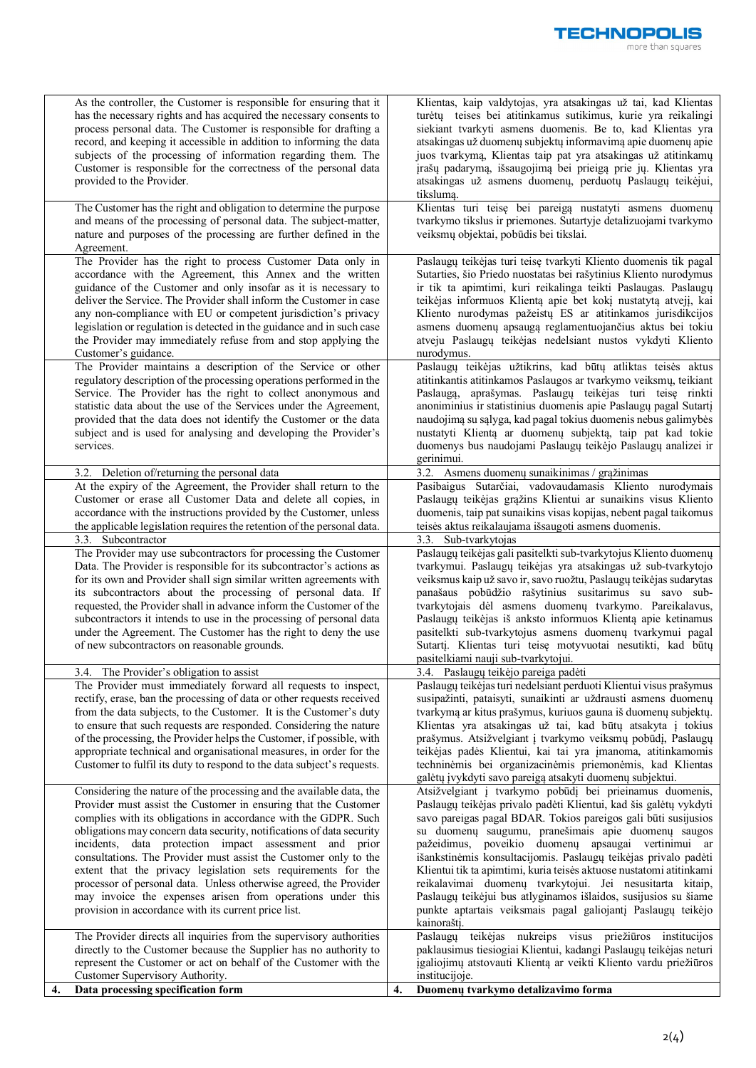| As the controller, the Customer is responsible for ensuring that it<br>has the necessary rights and has acquired the necessary consents to<br>process personal data. The Customer is responsible for drafting a<br>record, and keeping it accessible in addition to informing the data<br>subjects of the processing of information regarding them. The<br>Customer is responsible for the correctness of the personal data<br>provided to the Provider.<br>The Customer has the right and obligation to determine the purpose<br>and means of the processing of personal data. The subject-matter,<br>nature and purposes of the processing are further defined in the                                                                                                                                                   | Klientas, kaip valdytojas, yra atsakingas už tai, kad Klientas<br>turėtų teises bei atitinkamus sutikimus, kurie yra reikalingi<br>siekiant tvarkyti asmens duomenis. Be to, kad Klientas yra<br>atsakingas už duomenų subjektų informavimą apie duomenų apie<br>juos tvarkymą, Klientas taip pat yra atsakingas už atitinkamų<br>įrašų padarymą, išsaugojimą bei prieigą prie jų. Klientas yra<br>atsakingas už asmens duomenų, perduotų Paslaugų teikėjui,<br>tikslumą.<br>Klientas turi teisę bei pareigą nustatyti asmens duomenų<br>tvarkymo tikslus ir priemones. Sutartyje detalizuojami tvarkymo<br>veiksmų objektai, pobūdis bei tikslai.                                                                                                                                                      |
|---------------------------------------------------------------------------------------------------------------------------------------------------------------------------------------------------------------------------------------------------------------------------------------------------------------------------------------------------------------------------------------------------------------------------------------------------------------------------------------------------------------------------------------------------------------------------------------------------------------------------------------------------------------------------------------------------------------------------------------------------------------------------------------------------------------------------|---------------------------------------------------------------------------------------------------------------------------------------------------------------------------------------------------------------------------------------------------------------------------------------------------------------------------------------------------------------------------------------------------------------------------------------------------------------------------------------------------------------------------------------------------------------------------------------------------------------------------------------------------------------------------------------------------------------------------------------------------------------------------------------------------------|
| Agreement.<br>The Provider has the right to process Customer Data only in<br>accordance with the Agreement, this Annex and the written<br>guidance of the Customer and only insofar as it is necessary to<br>deliver the Service. The Provider shall inform the Customer in case<br>any non-compliance with EU or competent jurisdiction's privacy<br>legislation or regulation is detected in the guidance and in such case<br>the Provider may immediately refuse from and stop applying the<br>Customer's guidance.                                                                                                                                                                                                                                                                                                    | Paslaugų teikėjas turi teisę tvarkyti Kliento duomenis tik pagal<br>Sutarties, šio Priedo nuostatas bei rašytinius Kliento nurodymus<br>ir tik ta apimtimi, kuri reikalinga teikti Paslaugas. Paslaugų<br>teikėjas informuos Klientą apie bet kokį nustatytą atvejį, kai<br>Kliento nurodymas pažeistų ES ar atitinkamos jurisdikcijos<br>asmens duomenų apsaugą reglamentuojančius aktus bei tokiu<br>atveju Paslaugų teikėjas nedelsiant nustos vykdyti Kliento<br>nurodymus.                                                                                                                                                                                                                                                                                                                         |
| The Provider maintains a description of the Service or other<br>regulatory description of the processing operations performed in the<br>Service. The Provider has the right to collect anonymous and<br>statistic data about the use of the Services under the Agreement,<br>provided that the data does not identify the Customer or the data<br>subject and is used for analysing and developing the Provider's<br>services.                                                                                                                                                                                                                                                                                                                                                                                            | Paslaugų teikėjas užtikrins, kad būtų atliktas teisės aktus<br>atitinkantis atitinkamos Paslaugos ar tvarkymo veiksmų, teikiant<br>Paslaugą, aprašymas. Paslaugų teikėjas turi teisę rinkti<br>anoniminius ir statistinius duomenis apie Paslaugų pagal Sutartį<br>naudojimą su sąlyga, kad pagal tokius duomenis nebus galimybės<br>nustatyti Klientą ar duomenų subjektą, taip pat kad tokie<br>duomenys bus naudojami Paslaugų teikėjo Paslaugų analizei ir<br>gerinimui.                                                                                                                                                                                                                                                                                                                            |
| Deletion of/returning the personal data<br>3.2.<br>At the expiry of the Agreement, the Provider shall return to the<br>Customer or erase all Customer Data and delete all copies, in<br>accordance with the instructions provided by the Customer, unless<br>the applicable legislation requires the retention of the personal data.<br>3.3. Subcontractor                                                                                                                                                                                                                                                                                                                                                                                                                                                                | 3.2. Asmens duomenų sunaikinimas / grąžinimas<br>Pasibaigus Sutarčiai, vadovaudamasis Kliento nurodymais<br>Paslaugų teikėjas grąžins Klientui ar sunaikins visus Kliento<br>duomenis, taip pat sunaikins visas kopijas, nebent pagal taikomus<br>teisės aktus reikalaujama išsaugoti asmens duomenis.<br>3.3. Sub-tvarkytojas                                                                                                                                                                                                                                                                                                                                                                                                                                                                          |
| The Provider may use subcontractors for processing the Customer<br>Data. The Provider is responsible for its subcontractor's actions as<br>for its own and Provider shall sign similar written agreements with<br>its subcontractors about the processing of personal data. If<br>requested, the Provider shall in advance inform the Customer of the<br>subcontractors it intends to use in the processing of personal data<br>under the Agreement. The Customer has the right to deny the use<br>of new subcontractors on reasonable grounds.                                                                                                                                                                                                                                                                           | Paslaugų teikėjas gali pasitelkti sub-tvarkytojus Kliento duomenų<br>tvarkymui. Paslaugų teikėjas yra atsakingas už sub-tvarkytojo<br>veiksmus kaip už savo ir, savo ruožtu, Paslaugų teikėjas sudarytas<br>panašaus pobūdžio rašytinius susitarimus su savo sub-<br>tvarkytojais dėl asmens duomenų tvarkymo. Pareikalavus,<br>Paslaugų teikėjas iš anksto informuos Klientą apie ketinamus<br>pasitelkti sub-tvarkytojus asmens duomenų tvarkymui pagal<br>Sutartį. Klientas turi teisę motyvuotai nesutikti, kad būtų<br>pasitelkiami nauji sub-tvarkytojui.                                                                                                                                                                                                                                         |
| 3.4. The Provider's obligation to assist<br>The Provider must immediately forward all requests to inspect,<br>rectify, erase, ban the processing of data or other requests received<br>from the data subjects, to the Customer. It is the Customer's duty<br>to ensure that such requests are responded. Considering the nature<br>of the processing, the Provider helps the Customer, if possible, with<br>appropriate technical and organisational measures, in order for the<br>Customer to fulfil its duty to respond to the data subject's requests.                                                                                                                                                                                                                                                                 | 3.4. Paslaugų teikėjo pareiga padėti<br>Paslaugų teikėjas turi nedelsiant perduoti Klientui visus prašymus<br>susipažinti, pataisyti, sunaikinti ar uždrausti asmens duomenų<br>tvarkymą ar kitus prašymus, kuriuos gauna iš duomenų subjektų.<br>Klientas yra atsakingas už tai, kad būtų atsakyta į tokius<br>prašymus. Atsižvelgiant į tvarkymo veiksmų pobūdį, Paslaugų<br>teikėjas padės Klientui, kai tai yra įmanoma, atitinkamomis<br>techninėmis bei organizacinėmis priemonėmis, kad Klientas<br>galėtų įvykdyti savo pareigą atsakyti duomenų subjektui.                                                                                                                                                                                                                                     |
| Considering the nature of the processing and the available data, the<br>Provider must assist the Customer in ensuring that the Customer<br>complies with its obligations in accordance with the GDPR. Such<br>obligations may concern data security, notifications of data security<br>incidents, data protection impact assessment and prior<br>consultations. The Provider must assist the Customer only to the<br>extent that the privacy legislation sets requirements for the<br>processor of personal data. Unless otherwise agreed, the Provider<br>may invoice the expenses arisen from operations under this<br>provision in accordance with its current price list.<br>The Provider directs all inquiries from the supervisory authorities<br>directly to the Customer because the Supplier has no authority to | Atsižvelgiant į tvarkymo pobūdį bei prieinamus duomenis,<br>Paslaugų teikėjas privalo padėti Klientui, kad šis galėtų vykdyti<br>savo pareigas pagal BDAR. Tokios pareigos gali būti susijusios<br>su duomenų saugumu, pranešimais apie duomenų saugos<br>pažeidimus, poveikio duomenų apsaugai vertinimui ar<br>išankstinėmis konsultacijomis. Paslaugų teikėjas privalo padėti<br>Klientui tik ta apimtimi, kuria teisės aktuose nustatomi atitinkami<br>reikalavimai duomenų tvarkytojui. Jei nesusitarta kitaip,<br>Paslaugų teikėjui bus atlyginamos išlaidos, susijusios su šiame<br>punkte aptartais veiksmais pagal galiojantį Paslaugų teikėjo<br>kainoraštį.<br>Paslaugų teikėjas nukreips visus priežiūros institucijos<br>paklausimus tiesiogiai Klientui, kadangi Paslaugų teikėjas neturi |
| represent the Customer or act on behalf of the Customer with the<br>Customer Supervisory Authority.<br>Data processing specification form<br>4.                                                                                                                                                                                                                                                                                                                                                                                                                                                                                                                                                                                                                                                                           | įgaliojimų atstovauti Klientą ar veikti Kliento vardu priežiūros<br>institucijoje.<br>4.<br>Duomenų tvarkymo detalizavimo forma                                                                                                                                                                                                                                                                                                                                                                                                                                                                                                                                                                                                                                                                         |

**TECHNOPOLIS** 

more than squares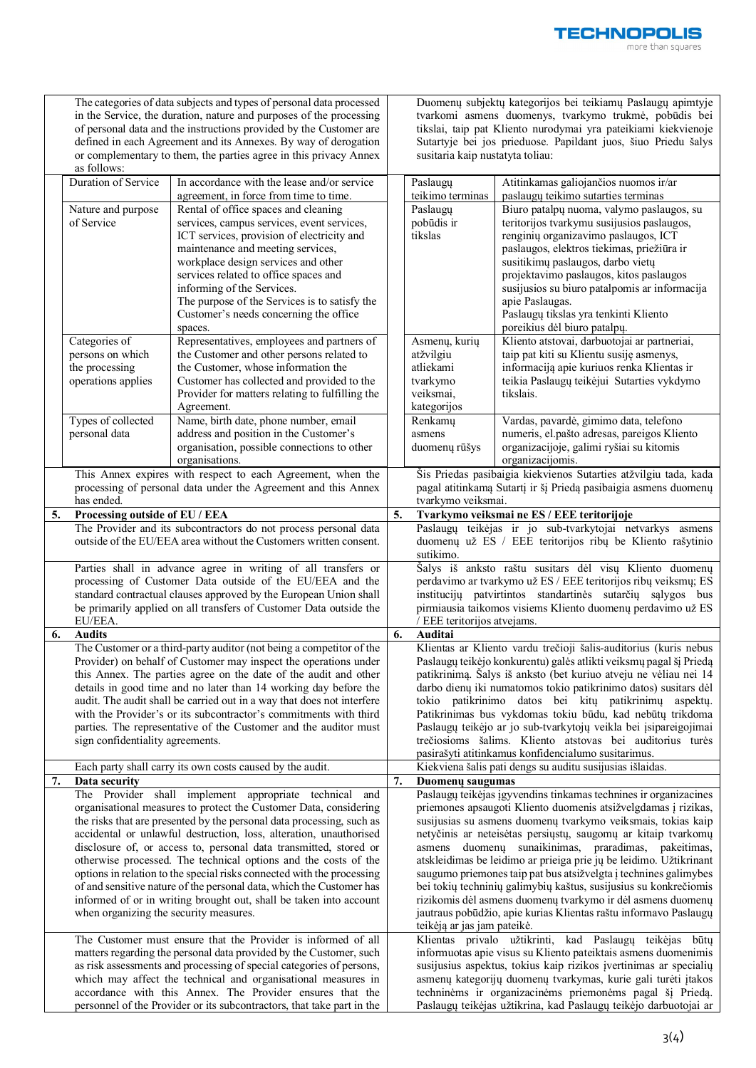|    |                                                                                                                                                                                                                                                                                                                                                                                                                                                                                                                                                                                                                                                                                                          | The categories of data subjects and types of personal data processed<br>in the Service, the duration, nature and purposes of the processing<br>of personal data and the instructions provided by the Customer are<br>defined in each Agreement and its Annexes. By way of derogation<br>or complementary to them, the parties agree in this privacy Annex                                                           |    | susitaria kaip nustatyta toliau:                                                                                                                                                                                                                                                                                                                                                                                                                                                                                                                                                                                                                                                                                                | Duomenų subjektų kategorijos bei teikiamų Paslaugų apimtyje<br>tvarkomi asmens duomenys, tvarkymo trukmė, pobūdis bei<br>tikslai, taip pat Kliento nurodymai yra pateikiami kiekvienoje<br>Sutartyje bei jos prieduose. Papildant juos, šiuo Priedu šalys                                                                                                                                       |  |  |
|----|----------------------------------------------------------------------------------------------------------------------------------------------------------------------------------------------------------------------------------------------------------------------------------------------------------------------------------------------------------------------------------------------------------------------------------------------------------------------------------------------------------------------------------------------------------------------------------------------------------------------------------------------------------------------------------------------------------|---------------------------------------------------------------------------------------------------------------------------------------------------------------------------------------------------------------------------------------------------------------------------------------------------------------------------------------------------------------------------------------------------------------------|----|---------------------------------------------------------------------------------------------------------------------------------------------------------------------------------------------------------------------------------------------------------------------------------------------------------------------------------------------------------------------------------------------------------------------------------------------------------------------------------------------------------------------------------------------------------------------------------------------------------------------------------------------------------------------------------------------------------------------------------|-------------------------------------------------------------------------------------------------------------------------------------------------------------------------------------------------------------------------------------------------------------------------------------------------------------------------------------------------------------------------------------------------|--|--|
|    | as follows:<br>Duration of Service<br>Nature and purpose<br>of Service                                                                                                                                                                                                                                                                                                                                                                                                                                                                                                                                                                                                                                   | In accordance with the lease and/or service<br>agreement, in force from time to time.<br>Rental of office spaces and cleaning<br>services, campus services, event services,<br>ICT services, provision of electricity and<br>maintenance and meeting services,<br>workplace design services and other<br>services related to office spaces and                                                                      |    | Paslaugų<br>teikimo terminas<br>Paslaugu<br>pobūdis ir<br>tikslas                                                                                                                                                                                                                                                                                                                                                                                                                                                                                                                                                                                                                                                               | Atitinkamas galiojančios nuomos ir/ar<br>paslaugų teikimo sutarties terminas<br>Biuro patalpų nuoma, valymo paslaugos, su<br>teritorijos tvarkymu susijusios paslaugos,<br>renginių organizavimo paslaugos, ICT<br>paslaugos, elektros tiekimas, priežiūra ir<br>susitikimų paslaugos, darbo vietų<br>projektavimo paslaugos, kitos paslaugos                                                   |  |  |
|    |                                                                                                                                                                                                                                                                                                                                                                                                                                                                                                                                                                                                                                                                                                          | informing of the Services.<br>The purpose of the Services is to satisfy the<br>Customer's needs concerning the office<br>spaces.                                                                                                                                                                                                                                                                                    |    |                                                                                                                                                                                                                                                                                                                                                                                                                                                                                                                                                                                                                                                                                                                                 | susijusios su biuro patalpomis ar informacija<br>apie Paslaugas.<br>Paslaugų tikslas yra tenkinti Kliento<br>poreikius dėl biuro patalpų.                                                                                                                                                                                                                                                       |  |  |
|    | Categories of<br>persons on which<br>the processing<br>operations applies<br>Types of collected                                                                                                                                                                                                                                                                                                                                                                                                                                                                                                                                                                                                          | Representatives, employees and partners of<br>the Customer and other persons related to<br>the Customer, whose information the<br>Customer has collected and provided to the<br>Provider for matters relating to fulfilling the<br>Agreement.<br>Name, birth date, phone number, email                                                                                                                              |    | Asmenų, kurių<br>atžvilgiu<br>atliekami<br>tvarkymo<br>veiksmai,<br>kategorijos<br>Renkamų                                                                                                                                                                                                                                                                                                                                                                                                                                                                                                                                                                                                                                      | Kliento atstovai, darbuotojai ar partneriai,<br>taip pat kiti su Klientu susiję asmenys,<br>informaciją apie kuriuos renka Klientas ir<br>teikia Paslaugų teikėjui Sutarties vykdymo<br>tikslais.<br>Vardas, pavardė, gimimo data, telefono                                                                                                                                                     |  |  |
|    | personal data                                                                                                                                                                                                                                                                                                                                                                                                                                                                                                                                                                                                                                                                                            | address and position in the Customer's<br>organisation, possible connections to other<br>organisations.                                                                                                                                                                                                                                                                                                             |    | asmens<br>duomenų rūšys                                                                                                                                                                                                                                                                                                                                                                                                                                                                                                                                                                                                                                                                                                         | numeris, el.pašto adresas, pareigos Kliento<br>organizacijoje, galimi ryšiai su kitomis<br>organizacijomis.                                                                                                                                                                                                                                                                                     |  |  |
|    | has ended.                                                                                                                                                                                                                                                                                                                                                                                                                                                                                                                                                                                                                                                                                               | This Annex expires with respect to each Agreement, when the<br>processing of personal data under the Agreement and this Annex                                                                                                                                                                                                                                                                                       |    | Šis Priedas pasibaigia kiekvienos Sutarties atžvilgiu tada, kada<br>pagal atitinkamą Sutartį ir šį Priedą pasibaigia asmens duomenų<br>tvarkymo veiksmai.                                                                                                                                                                                                                                                                                                                                                                                                                                                                                                                                                                       |                                                                                                                                                                                                                                                                                                                                                                                                 |  |  |
| 5. | Processing outside of EU / EEA                                                                                                                                                                                                                                                                                                                                                                                                                                                                                                                                                                                                                                                                           |                                                                                                                                                                                                                                                                                                                                                                                                                     | 5. |                                                                                                                                                                                                                                                                                                                                                                                                                                                                                                                                                                                                                                                                                                                                 | Tvarkymo veiksmai ne ES / EEE teritorijoje                                                                                                                                                                                                                                                                                                                                                      |  |  |
|    | The Provider and its subcontractors do not process personal data<br>outside of the EU/EEA area without the Customers written consent.<br>Parties shall in advance agree in writing of all transfers or<br>processing of Customer Data outside of the EU/EEA and the                                                                                                                                                                                                                                                                                                                                                                                                                                      |                                                                                                                                                                                                                                                                                                                                                                                                                     |    | Paslaugų teikėjas ir jo sub-tvarkytojai netvarkys asmens<br>duomenų už ES / EEE teritorijos ribų be Kliento rašytinio<br>sutikimo.<br>Šalys iš anksto raštu susitars dėl visų Kliento duomenų<br>perdavimo ar tvarkymo už ES / EEE teritorijos ribų veiksmų; ES                                                                                                                                                                                                                                                                                                                                                                                                                                                                 |                                                                                                                                                                                                                                                                                                                                                                                                 |  |  |
|    | standard contractual clauses approved by the European Union shall<br>be primarily applied on all transfers of Customer Data outside the<br>EU/EEA.                                                                                                                                                                                                                                                                                                                                                                                                                                                                                                                                                       |                                                                                                                                                                                                                                                                                                                                                                                                                     |    | institucijų patvirtintos standartinės sutarčių sąlygos bus<br>pirmiausia taikomos visiems Kliento duomenų perdavimo už ES<br>/ EEE teritorijos atvejams.                                                                                                                                                                                                                                                                                                                                                                                                                                                                                                                                                                        |                                                                                                                                                                                                                                                                                                                                                                                                 |  |  |
| 6. | <b>Audits</b><br>The Customer or a third-party auditor (not being a competitor of the<br>Provider) on behalf of Customer may inspect the operations under<br>this Annex. The parties agree on the date of the audit and other<br>details in good time and no later than 14 working day before the<br>audit. The audit shall be carried out in a way that does not interfere<br>with the Provider's or its subcontractor's commitments with third<br>parties. The representative of the Customer and the auditor must<br>sign confidentiality agreements.                                                                                                                                                 |                                                                                                                                                                                                                                                                                                                                                                                                                     |    | 6.<br>Auditai<br>Klientas ar Kliento vardu trečioji šalis-auditorius (kuris nebus<br>Paslaugų teikėjo konkurentu) galės atlikti veiksmų pagal šį Priedą<br>patikrinimą. Šalys iš anksto (bet kuriuo atveju ne vėliau nei 14<br>darbo dienų iki numatomos tokio patikrinimo datos) susitars dėl<br>tokio patikrinimo datos bei kitų patikrinimų aspektų.<br>Patikrinimas bus vykdomas tokiu būdu, kad nebūtų trikdoma<br>Paslaugų teikėjo ar jo sub-tvarkytojų veikla bei įsipareigojimai<br>trečiosioms šalims. Kliento atstovas bei auditorius turės<br>pasirašyti atitinkamus konfidencialumo susitarimus.                                                                                                                    |                                                                                                                                                                                                                                                                                                                                                                                                 |  |  |
|    | Each party shall carry its own costs caused by the audit.                                                                                                                                                                                                                                                                                                                                                                                                                                                                                                                                                                                                                                                |                                                                                                                                                                                                                                                                                                                                                                                                                     |    | Kiekviena šalis pati dengs su auditu susijusias išlaidas.                                                                                                                                                                                                                                                                                                                                                                                                                                                                                                                                                                                                                                                                       |                                                                                                                                                                                                                                                                                                                                                                                                 |  |  |
|    | Data security<br>The Provider shall implement appropriate technical<br>and<br>organisational measures to protect the Customer Data, considering<br>the risks that are presented by the personal data processing, such as<br>accidental or unlawful destruction, loss, alteration, unauthorised<br>disclosure of, or access to, personal data transmitted, stored or<br>otherwise processed. The technical options and the costs of the<br>options in relation to the special risks connected with the processing<br>of and sensitive nature of the personal data, which the Customer has<br>informed of or in writing brought out, shall be taken into account<br>when organizing the security measures. |                                                                                                                                                                                                                                                                                                                                                                                                                     | 7. | Duomenu saugumas<br>Paslaugų teikėjas įgyvendins tinkamas technines ir organizacines<br>priemones apsaugoti Kliento duomenis atsižvelgdamas į rizikas,<br>susijusias su asmens duomenų tvarkymo veiksmais, tokias kaip<br>netyčinis ar neteisėtas persiųstų, saugomų ar kitaip tvarkomų<br>asmens duomenų sunaikinimas, praradimas, pakeitimas,<br>atskleidimas be leidimo ar prieiga prie jų be leidimo. Užtikrinant<br>saugumo priemones taip pat bus atsižvelgta į technines galimybes<br>bei tokių techninių galimybių kaštus, susijusius su konkrečiomis<br>rizikomis dėl asmens duomenų tvarkymo ir dėl asmens duomenų<br>jautraus pobūdžio, apie kurias Klientas raštu informavo Paslaugų<br>teikėją ar jas jam pateikė. |                                                                                                                                                                                                                                                                                                                                                                                                 |  |  |
|    |                                                                                                                                                                                                                                                                                                                                                                                                                                                                                                                                                                                                                                                                                                          | The Customer must ensure that the Provider is informed of all<br>matters regarding the personal data provided by the Customer, such<br>as risk assessments and processing of special categories of persons,<br>which may affect the technical and organisational measures in<br>accordance with this Annex. The Provider ensures that the<br>personnel of the Provider or its subcontractors, that take part in the |    |                                                                                                                                                                                                                                                                                                                                                                                                                                                                                                                                                                                                                                                                                                                                 | Klientas privalo užtikrinti, kad Paslaugų teikėjas būtų<br>informuotas apie visus su Kliento pateiktais asmens duomenimis<br>susijusius aspektus, tokius kaip rizikos įvertinimas ar specialių<br>asmenų kategorijų duomenų tvarkymas, kurie gali turėti įtakos<br>techninėms ir organizacinėms priemonėms pagal šį Priedą.<br>Paslaugų teikėjas užtikrina, kad Paslaugų teikėjo darbuotojai ar |  |  |